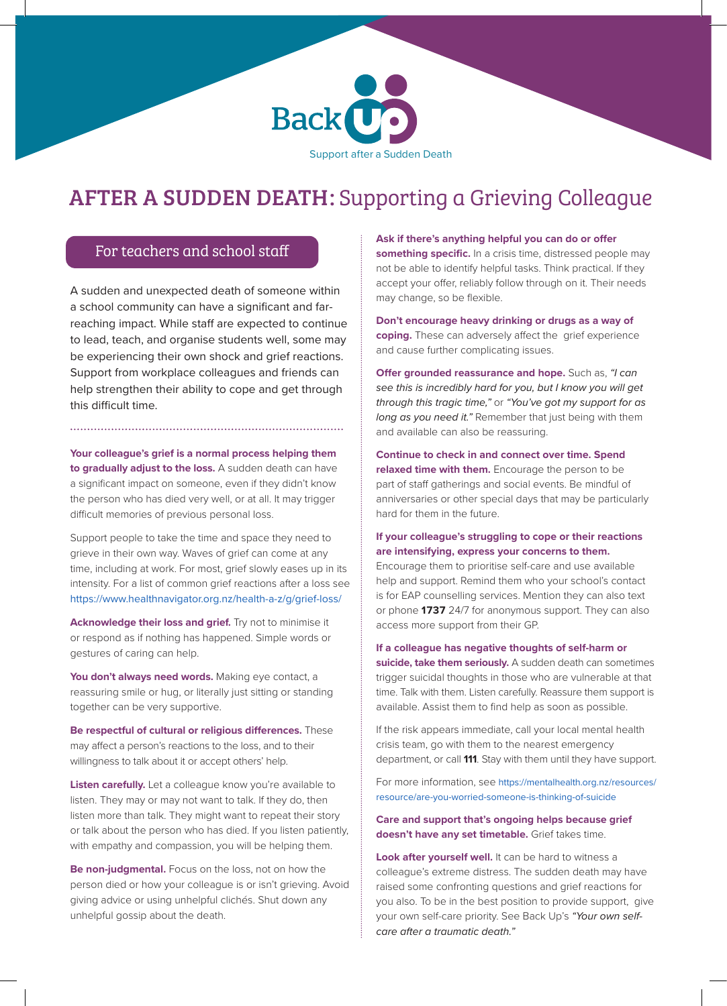

# AFTER A SUDDEN DEATH: Supporting a Grieving Colleague

### For teachers and school staff

A sudden and unexpected death of someone within a school community can have a significant and farreaching impact. While staff are expected to continue to lead, teach, and organise students well, some may be experiencing their own shock and grief reactions. Support from workplace colleagues and friends can help strengthen their ability to cope and get through this difficult time.

**Your colleague's grief is a normal process helping them to gradually adjust to the loss.** A sudden death can have a significant impact on someone, even if they didn't know the person who has died very well, or at all. It may trigger difficult memories of previous personal loss.

Support people to take the time and space they need to grieve in their own way. Waves of grief can come at any time, including at work. For most, grief slowly eases up in its intensity. For a list of common grief reactions after a loss see https://www.healthnavigator.org.nz/health-a-z/g/grief-loss/

**Acknowledge their loss and grief.** Try not to minimise it or respond as if nothing has happened. Simple words or gestures of caring can help.

You don't always need words. Making eye contact, a reassuring smile or hug, or literally just sitting or standing together can be very supportive.

**Be respectful of cultural or religious differences.** These may affect a person's reactions to the loss, and to their willingness to talk about it or accept others' help.

**Listen carefully.** Let a colleague know you're available to listen. They may or may not want to talk. If they do, then listen more than talk. They might want to repeat their story or talk about the person who has died. If you listen patiently, with empathy and compassion, you will be helping them.

**Be non-judgmental.** Focus on the loss, not on how the person died or how your colleague is or isn't grieving. Avoid giving advice or using unhelpful clichés. Shut down any unhelpful gossip about the death.

**Ask if there's anything helpful you can do or offer**  something specific. In a crisis time, distressed people may not be able to identify helpful tasks. Think practical. If they accept your offer, reliably follow through on it. Their needs may change, so be flexible.

**Don't encourage heavy drinking or drugs as a way of coping.** These can adversely affect the grief experience and cause further complicating issues.

**Offer grounded reassurance and hope.** Such as, *"I can see this is incredibly hard for you, but I know you will get through this tragic time,"* or *"You've got my support for as long as you need it."* Remember that just being with them and available can also be reassuring.

**Continue to check in and connect over time. Spend relaxed time with them.** Encourage the person to be part of staff gatherings and social events. Be mindful of anniversaries or other special days that may be particularly hard for them in the future.

#### **If your colleague's struggling to cope or their reactions are intensifying, express your concerns to them.**

Encourage them to prioritise self-care and use available help and support. Remind them who your school's contact is for EAP counselling services. Mention they can also text or phone **1737** 24/7 for anonymous support. They can also access more support from their GP.

**If a colleague has negative thoughts of self-harm or suicide, take them seriously.** A sudden death can sometimes trigger suicidal thoughts in those who are vulnerable at that time. Talk with them. Listen carefully. Reassure them support is available. Assist them to find help as soon as possible.

If the risk appears immediate, call your local mental health crisis team, go with them to the nearest emergency department, or call **111**. Stay with them until they have support.

For more information, see https://mentalhealth.org.nz/resources/ resource/are-you-worried-someone-is-thinking-of-suicide

**Care and support that's ongoing helps because grief doesn't have any set timetable.** Grief takes time.

Look after yourself well. It can be hard to witness a colleague's extreme distress. The sudden death may have raised some confronting questions and grief reactions for you also. To be in the best position to provide support, give your own self-care priority. See Back Up's *"Your own selfcare after a traumatic death."*